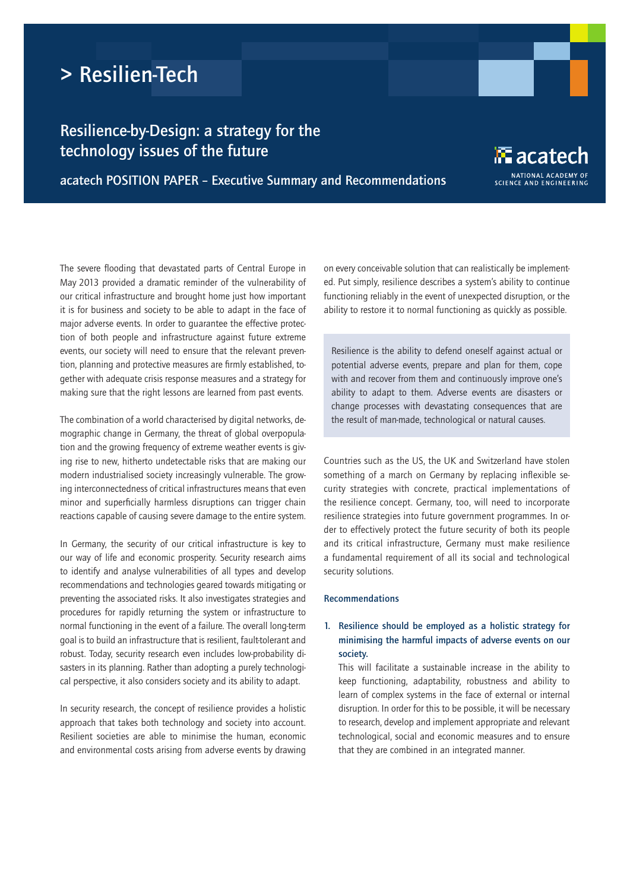# > Resilien-Tech

# Resilience-by-Design: a strategy for the technology issues of the future

acatech POSITION PAPER – Executive Summary and Recommendations

The severe flooding that devastated parts of Central Europe in May 2013 provided a dramatic reminder of the vulnerability of our critical infrastructure and brought home just how important it is for business and society to be able to adapt in the face of major adverse events. In order to guarantee the effective protection of both people and infrastructure against future extreme events, our society will need to ensure that the relevant prevention, planning and protective measures are firmly established, together with adequate crisis response measures and a strategy for making sure that the right lessons are learned from past events.

The combination of a world characterised by digital networks, demographic change in Germany, the threat of global overpopulation and the growing frequency of extreme weather events is giving rise to new, hitherto undetectable risks that are making our modern industrialised society increasingly vulnerable. The growing interconnectedness of critical infrastructures means that even minor and superficially harmless disruptions can trigger chain reactions capable of causing severe damage to the entire system.

In Germany, the security of our critical infrastructure is key to our way of life and economic prosperity. Security research aims to identify and analyse vulnerabilities of all types and develop recommendations and technologies geared towards mitigating or preventing the associated risks. It also investigates strategies and procedures for rapidly returning the system or infrastructure to normal functioning in the event of a failure. The overall long-term goal is to build an infrastructure that is resilient, fault-tolerant and robust. Today, security research even includes low-probability disasters in its planning. Rather than adopting a purely technological perspective, it also considers society and its ability to adapt.

In security research, the concept of resilience provides a holistic approach that takes both technology and society into account. Resilient societies are able to minimise the human, economic and environmental costs arising from adverse events by drawing on every conceivable solution that can realistically be implemented. Put simply, resilience describes a system's ability to continue functioning reliably in the event of unexpected disruption, or the ability to restore it to normal functioning as quickly as possible.

 $\mathbb{E}% _{\alpha\beta}$  acatech

**SCIENCE AND ENGINEERING** 

Resilience is the ability to defend oneself against actual or potential adverse events, prepare and plan for them, cope with and recover from them and continuously improve one's ability to adapt to them. Adverse events are disasters or change processes with devastating consequences that are the result of man-made, technological or natural causes.

Countries such as the US, the UK and Switzerland have stolen something of a march on Germany by replacing inflexible security strategies with concrete, practical implementations of the resilience concept. Germany, too, will need to incorporate resilience strategies into future government programmes. In order to effectively protect the future security of both its people and its critical infrastructure, Germany must make resilience a fundamental requirement of all its social and technological security solutions.

#### Recommendations

# 1. Resilience should be employed as a holistic strategy for minimising the harmful impacts of adverse events on our society.

This will facilitate a sustainable increase in the ability to keep functioning, adaptability, robustness and ability to learn of complex systems in the face of external or internal disruption. In order for this to be possible, it will be necessary to research, develop and implement appropriate and relevant technological, social and economic measures and to ensure that they are combined in an integrated manner.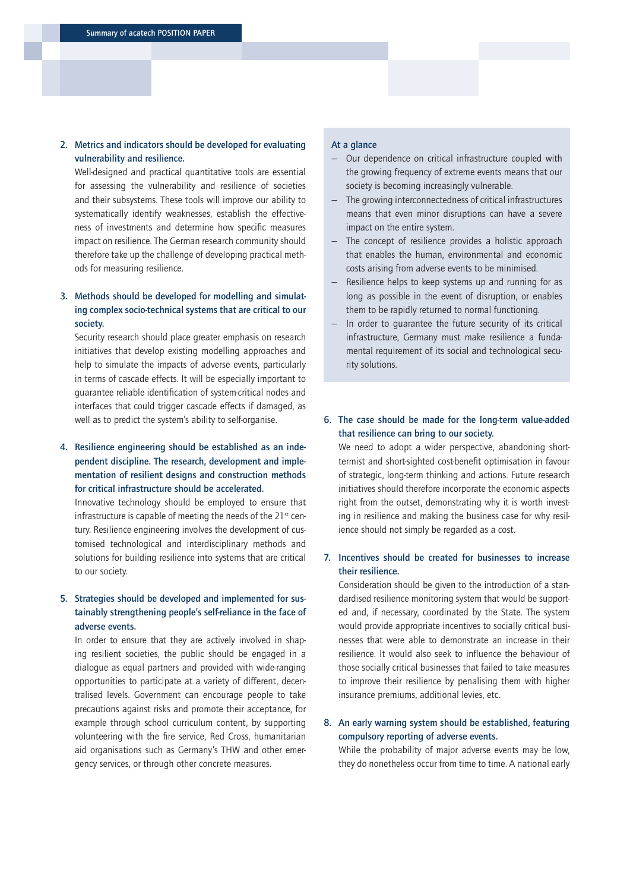#### 2. Metrics and indicators should be developed for evaluating vulnerability and resilience.

Well-designed and practical quantitative tools are essential for assessing the vulnerability and resilience of societies and their subsystems. These tools will improve our ability to systematically identify weaknesses, establish the effectiveness of investments and determine how specific measures impact on resilience. The German research community should therefore take up the challenge of developing practical methods for measuring resilience.

## 3. Methods should be developed for modelling and simulating complex socio-technical systems that are critical to our society.

Security research should place greater emphasis on research initiatives that develop existing modelling approaches and help to simulate the impacts of adverse events, particularly in terms of cascade effects. It will be especially important to guarantee reliable identification of system-critical nodes and interfaces that could trigger cascade effects if damaged, as well as to predict the system's ability to self-organise.

# 4. Resilience engineering should be established as an independent discipline. The research, development and implementation of resilient designs and construction methods for critical infrastructure should be accelerated.

Innovative technology should be employed to ensure that infrastructure is capable of meeting the needs of the  $21<sup>st</sup>$  century. Resilience engineering involves the development of customised technological and interdisciplinary methods and solutions for building resilience into systems that are critical to our society.

## 5. Strategies should be developed and implemented for sustainably strengthening people's self-reliance in the face of adverse events.

In order to ensure that they are actively involved in shaping resilient societies, the public should be engaged in a dialogue as equal partners and provided with wide-ranging opportunities to participate at a variety of different, decentralised levels. Government can encourage people to take precautions against risks and promote their acceptance, for example through school curriculum content, by supporting volunteering with the fire service, Red Cross, humanitarian aid organisations such as Germany's THW and other emergency services, or through other concrete measures.

#### At a glance

- Our dependence on critical infrastructure coupled with the growing frequency of extreme events means that our society is becoming increasingly vulnerable.
- The growing interconnectedness of critical infrastructures means that even minor disruptions can have a severe impact on the entire system.
- The concept of resilience provides a holistic approach that enables the human, environmental and economic costs arising from adverse events to be minimised.
- Resilience helps to keep systems up and running for as long as possible in the event of disruption, or enables them to be rapidly returned to normal functioning.
- In order to quarantee the future security of its critical infrastructure, Germany must make resilience a fundamental requirement of its social and technological security solutions.
- 6. The case should be made for the long-term value-added that resilience can bring to our society.

We need to adopt a wider perspective, abandoning shorttermist and short-sighted cost-benefit optimisation in favour of strategic, long-term thinking and actions. Future research initiatives should therefore incorporate the economic aspects right from the outset, demonstrating why it is worth investing in resilience and making the business case for why resilience should not simply be regarded as a cost.

#### 7. Incentives should be created for businesses to increase their resilience.

Consideration should be given to the introduction of a standardised resilience monitoring system that would be supported and, if necessary, coordinated by the State. The system would provide appropriate incentives to socially critical businesses that were able to demonstrate an increase in their resilience. It would also seek to influence the behaviour of those socially critical businesses that failed to take measures to improve their resilience by penalising them with higher insurance premiums, additional levies, etc.

# 8. An early warning system should be established, featuring compulsory reporting of adverse events.

While the probability of major adverse events may be low, they do nonetheless occur from time to time. A national early